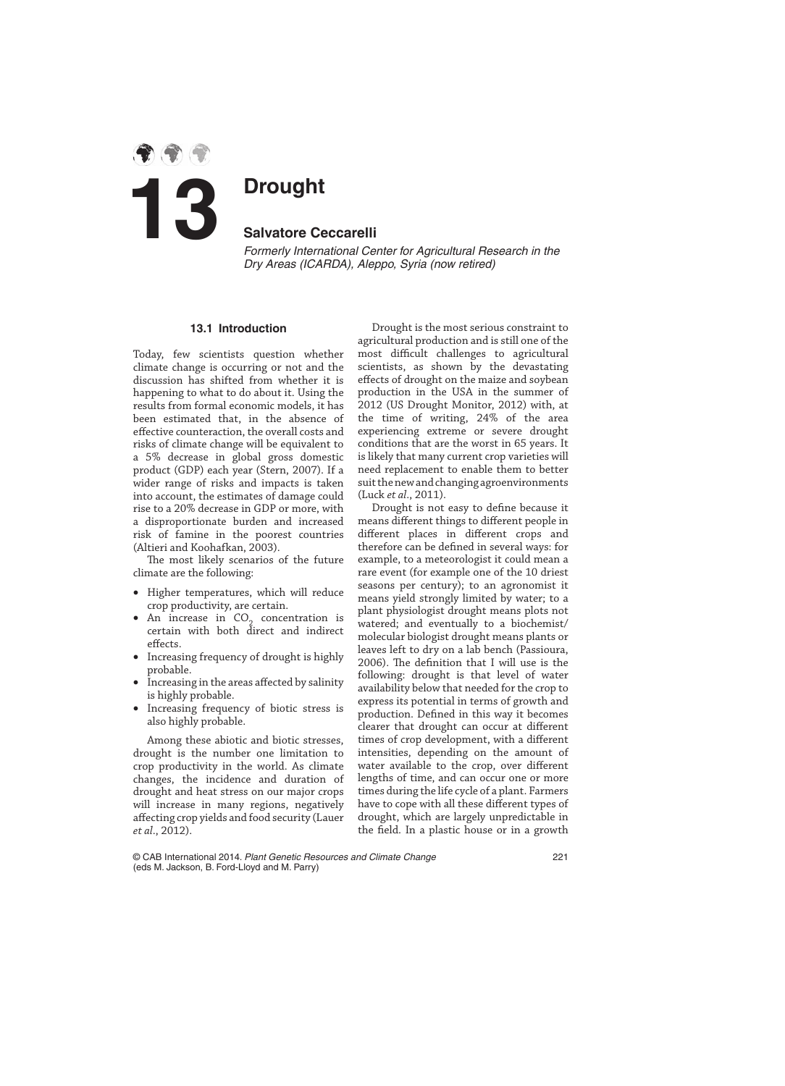

# **Salvatore Ceccarelli**

*Formerly International Center for Agricultural Research in the Dry Areas (ICARDA), Aleppo, Syria (now retired)*

### **13.1 Introduction**

Today, few scientists question whether climate change is occurring or not and the discussion has shifted from whether it is happening to what to do about it. Using the results from formal economic models, it has been estimated that, in the absence of effective counteraction, the overall costs and risks of climate change will be equivalent to a 5% decrease in global gross domestic product (GDP) each year (Stern, 2007). If a wider range of risks and impacts is taken into account, the estimates of damage could rise to a 20% decrease in GDP or more, with a disproportionate burden and increased risk of famine in the poorest countries (Altieri and Koohafkan, 2003).

The most likely scenarios of the future climate are the following:

- Higher temperatures, which will reduce crop productivity, are certain.
- An increase in  $CO<sub>2</sub>$  concentration is certain with both direct and indirect effects
- Increasing frequency of drought is highly probable.
- Increasing in the areas affected by salinity is highly probable.
- Increasing frequency of biotic stress is also highly probable.

Among these abiotic and biotic stresses, drought is the number one limitation to crop productivity in the world. As climate changes, the incidence and duration of drought and heat stress on our major crops will increase in many regions, negatively affecting crop yields and food security (Lauer *et al*., 2012).

Drought is the most serious constraint to agricultural production and is still one of the most difficult challenges to agricultural scientists, as shown by the devastating effects of drought on the maize and soybean production in the USA in the summer of 2012 (US Drought Monitor, 2012) with, at the time of writing, 24% of the area experiencing extreme or severe drought conditions that are the worst in 65 years. It is likely that many current crop varieties will need replacement to enable them to better suit the new and changing agroenvironments (Luck *et al*., 2011).

Drought is not easy to define because it means different things to different people in different places in different crops and therefore can be defined in several ways: for example, to a meteorologist it could mean a rare event (for example one of the 10 driest seasons per century); to an agronomist it means yield strongly limited by water; to a plant physiologist drought means plots not watered; and eventually to a biochemist/ molecular biologist drought means plants or leaves left to dry on a lab bench (Passioura, 2006). The definition that I will use is the following: drought is that level of water availability below that needed for the crop to express its potential in terms of growth and production. Defined in this way it becomes clearer that drought can occur at different times of crop development, with a different intensities, depending on the amount of water available to the crop, over different lengths of time, and can occur one or more times during the life cycle of a plant. Farmers have to cope with all these different types of drought, which are largely unpredictable in the field. In a plastic house or in a growth

<sup>©</sup> CAB International 2014. *Plant Genetic Resources and Climate Change* 221 (eds M. Jackson, B. Ford-Lloyd and M. Parry)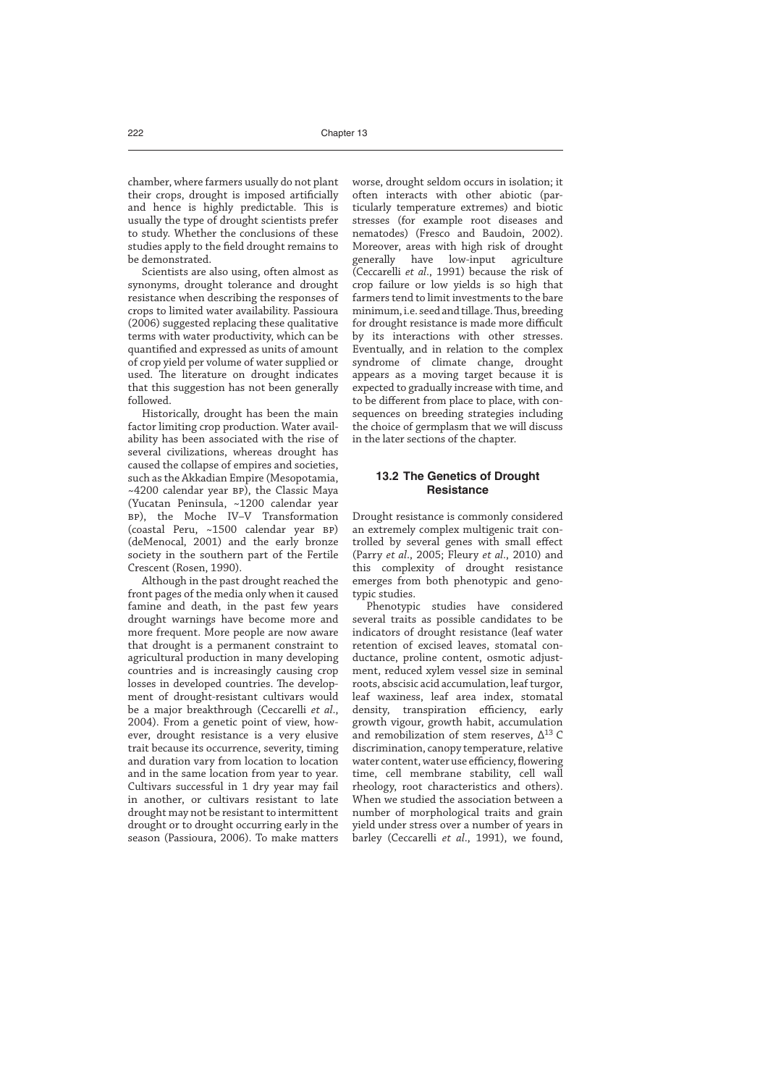chamber, where farmers usually do not plant their crops, drought is imposed artificially and hence is highly predictable. This is usually the type of drought scientists prefer to study. Whether the conclusions of these studies apply to the field drought remains to be demonstrated.

Scientists are also using, often almost as synonyms, drought tolerance and drought resistance when describing the responses of crops to limited water availability. Passioura (2006) suggested replacing these qualitative terms with water productivity, which can be quantified and expressed as units of amount of crop yield per volume of water supplied or used. The literature on drought indicates that this suggestion has not been generally followed.

Historically, drought has been the main factor limiting crop production. Water availability has been associated with the rise of several civilizations, whereas drought has caused the collapse of empires and societies, such as the Akkadian Empire (Mesopotamia, ~4200 calendar year bp), the Classic Maya (Yucatan Peninsula, ~1200 calendar year bp), the Moche IV–V Transformation (coastal Peru, ~1500 calendar year bp) (deMenocal, 2001) and the early bronze society in the southern part of the Fertile Crescent (Rosen, 1990).

Although in the past drought reached the front pages of the media only when it caused famine and death, in the past few years drought warnings have become more and more frequent. More people are now aware that drought is a permanent constraint to agricultural production in many developing countries and is increasingly causing crop losses in developed countries. The development of drought-resistant cultivars would be a major breakthrough (Ceccarelli *et al*., 2004). From a genetic point of view, however, drought resistance is a very elusive trait because its occurrence, severity, timing and duration vary from location to location and in the same location from year to year. Cultivars successful in 1 dry year may fail in another, or cultivars resistant to late drought may not be resistant to intermittent drought or to drought occurring early in the season (Passioura, 2006). To make matters worse, drought seldom occurs in isolation; it often interacts with other abiotic (particularly temperature extremes) and biotic stresses (for example root diseases and nematodes) (Fresco and Baudoin, 2002). Moreover, areas with high risk of drought generally have low-input agriculture (Ceccarelli *et al*., 1991) because the risk of crop failure or low yields is so high that farmers tend to limit investments to the bare minimum, i.e. seed and tillage. Thus, breeding for drought resistance is made more difficult by its interactions with other stresses. Eventually, and in relation to the complex syndrome of climate change, drought appears as a moving target because it is expected to gradually increase with time, and to be different from place to place, with consequences on breeding strategies including the choice of germplasm that we will discuss in the later sections of the chapter.

### **13.2 The Genetics of Drought Resistance**

Drought resistance is commonly considered an extremely complex multigenic trait controlled by several genes with small effect (Parry *et al*., 2005; Fleury *et al*., 2010) and this complexity of drought resistance emerges from both phenotypic and genotypic studies.

Phenotypic studies have considered several traits as possible candidates to be indicators of drought resistance (leaf water retention of excised leaves, stomatal conductance, proline content, osmotic adjustment, reduced xylem vessel size in seminal roots, abscisic acid accumulation, leaf turgor, leaf waxiness, leaf area index, stomatal density, transpiration efficiency, early growth vigour, growth habit, accumulation and remobilization of stem reserves,  $\Delta^{13}$  C discrimination, canopy temperature, relative water content, water use efficiency, flowering time, cell membrane stability, cell wall rheology, root characteristics and others). When we studied the association between a number of morphological traits and grain yield under stress over a number of years in barley (Ceccarelli *et al*., 1991), we found,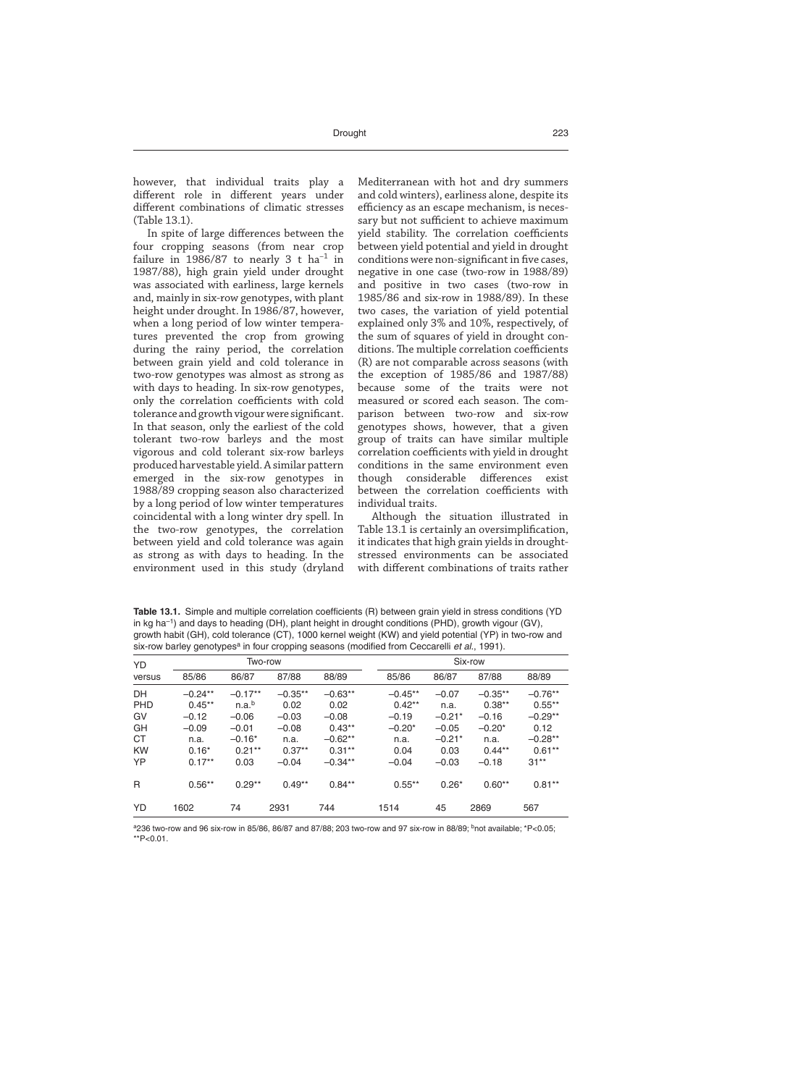however, that individual traits play a different role in different years under different combinations of climatic stresses (Table 13.1).

In spite of large differences between the four cropping seasons (from near crop failure in 1986/87 to nearly 3 t ha<sup>-1</sup> in 1987/88), high grain yield under drought was associated with earliness, large kernels and, mainly in six-row genotypes, with plant height under drought. In 1986/87, however, when a long period of low winter temperatures prevented the crop from growing during the rainy period, the correlation between grain yield and cold tolerance in two-row genotypes was almost as strong as with days to heading. In six-row genotypes, only the correlation coefficients with cold tolerance and growth vigour were significant. In that season, only the earliest of the cold tolerant two-row barleys and the most vigorous and cold tolerant six-row barleys produced harvestable yield. A similar pattern emerged in the six-row genotypes in 1988/89 cropping season also characterized by a long period of low winter temperatures coincidental with a long winter dry spell. In the two-row genotypes, the correlation between yield and cold tolerance was again as strong as with days to heading. In the environment used in this study (dryland Mediterranean with hot and dry summers and cold winters), earliness alone, despite its efficiency as an escape mechanism, is necessary but not sufficient to achieve maximum yield stability. The correlation coefficients between yield potential and yield in drought conditions were non-significant in five cases, negative in one case (two-row in 1988/89) and positive in two cases (two-row in 1985/86 and six-row in 1988/89). In these two cases, the variation of yield potential explained only 3% and 10%, respectively, of the sum of squares of yield in drought conditions. The multiple correlation coefficients (R) are not comparable across seasons (with the exception of 1985/86 and 1987/88) because some of the traits were not measured or scored each season. The comparison between two-row and six-row genotypes shows, however, that a given group of traits can have similar multiple correlation coefficients with yield in drought conditions in the same environment even though considerable differences exist between the correlation coefficients with individual traits.

Although the situation illustrated in Table 13.1 is certainly an oversimplification, it indicates that high grain yields in droughtstressed environments can be associated with different combinations of traits rather

| Table 13.1. Simple and multiple correlation coefficients (R) between grain yield in stress conditions (YD        |
|------------------------------------------------------------------------------------------------------------------|
| in kg ha <sup>-1</sup> ) and days to heading (DH), plant height in drought conditions (PHD), growth vigour (GV), |
| growth habit (GH), cold tolerance (CT), 1000 kernel weight (KW) and yield potential (YP) in two-row and          |
| six-row barley genotypes <sup>a</sup> in four cropping seasons (modified from Ceccarelli <i>et al.</i> , 1991).  |

| <b>YD</b>  | Two-row   |                   |           |           | Six-row   |          |           |           |
|------------|-----------|-------------------|-----------|-----------|-----------|----------|-----------|-----------|
| versus     | 85/86     | 86/87             | 87/88     | 88/89     | 85/86     | 86/87    | 87/88     | 88/89     |
| DH         | $-0.24**$ | $-0.17**$         | $-0.35**$ | $-0.63**$ | $-0.45**$ | $-0.07$  | $-0.35**$ | $-0.76**$ |
| <b>PHD</b> | $0.45**$  | n.a. <sup>b</sup> | 0.02      | 0.02      | $0.42**$  | n.a.     | $0.38**$  | $0.55***$ |
| GV         | $-0.12$   | $-0.06$           | $-0.03$   | $-0.08$   | $-0.19$   | $-0.21*$ | $-0.16$   | $-0.29**$ |
| GH         | $-0.09$   | $-0.01$           | $-0.08$   | $0.43**$  | $-0.20*$  | $-0.05$  | $-0.20*$  | 0.12      |
| <b>CT</b>  | n.a.      | $-0.16*$          | n.a.      | $-0.62**$ | n.a.      | $-0.21*$ | n.a.      | $-0.28**$ |
| <b>KW</b>  | $0.16*$   | $0.21***$         | $0.37**$  | $0.31**$  | 0.04      | 0.03     | $0.44**$  | $0.61***$ |
| YP         | $0.17**$  | 0.03              | $-0.04$   | $-0.34**$ | $-0.04$   | $-0.03$  | $-0.18$   | $31**$    |
| R          | $0.56**$  | $0.29**$          | $0.49**$  | $0.84***$ | $0.55***$ | $0.26*$  | $0.60**$  | $0.81***$ |
| YD.        | 1602      | 74                | 2931      | 744       | 1514      | 45       | 2869      | 567       |

a236 two-row and 96 six-row in 85/86, 86/87 and 87/88; 203 two-row and 97 six-row in 88/89; <sup>b</sup>not available; \*P<0.05; \*\*P<0.01.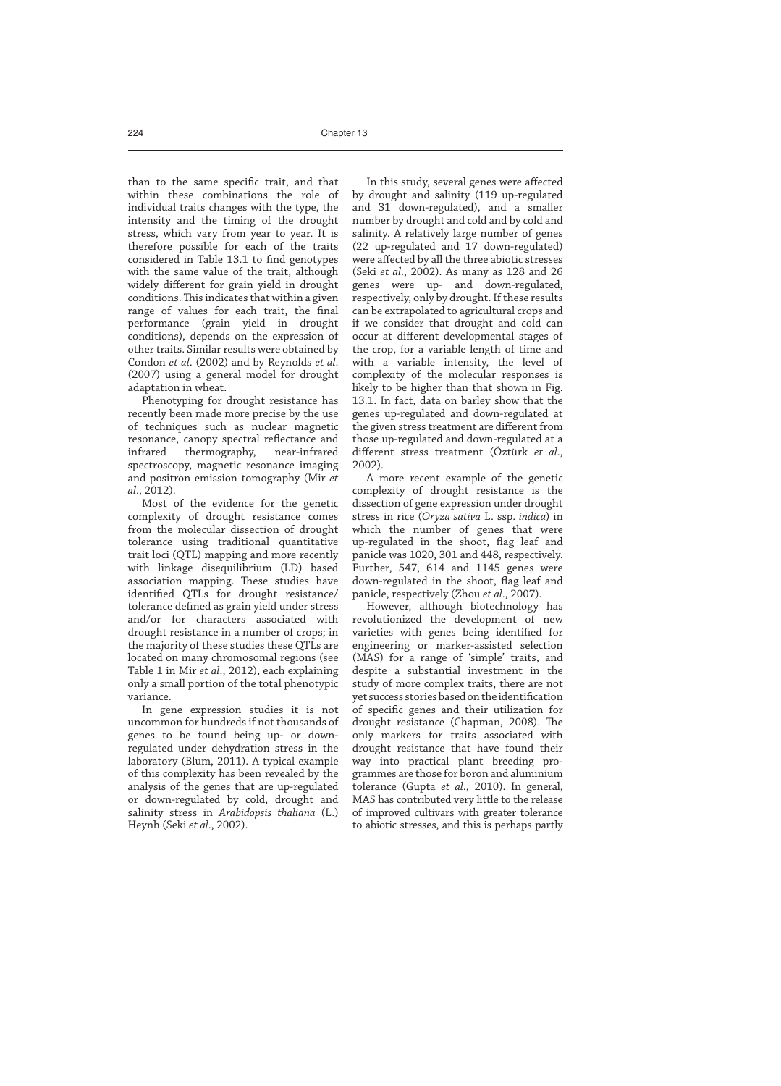than to the same specific trait, and that within these combinations the role of individual traits changes with the type, the intensity and the timing of the drought stress, which vary from year to year. It is therefore possible for each of the traits considered in Table 13.1 to find genotypes with the same value of the trait, although widely different for grain yield in drought conditions. This indicates that within a given range of values for each trait, the final performance (grain yield in drought conditions), depends on the expression of other traits. Similar results were obtained by Condon *et al*. (2002) and by Reynolds *et al*. (2007) using a general model for drought adaptation in wheat.

Phenotyping for drought resistance has recently been made more precise by the use of techniques such as nuclear magnetic resonance, canopy spectral reflectance and infrared thermography, near-infrared spectroscopy, magnetic resonance imaging and positron emission tomography (Mir *et al*., 2012).

Most of the evidence for the genetic complexity of drought resistance comes from the molecular dissection of drought tolerance using traditional quantitative trait loci (QTL) mapping and more recently with linkage disequilibrium (LD) based association mapping. These studies have identified QTLs for drought resistance/ tolerance defined as grain yield under stress and/or for characters associated with drought resistance in a number of crops; in the majority of these studies these QTLs are located on many chromosomal regions (see Table 1 in Mir *et al*., 2012), each explaining only a small portion of the total phenotypic variance.

In gene expression studies it is not uncommon for hundreds if not thousands of genes to be found being up- or downregulated under dehydration stress in the laboratory (Blum, 2011). A typical example of this complexity has been revealed by the analysis of the genes that are up-regulated or down-regulated by cold, drought and salinity stress in *Arabidopsis thaliana* (L.) Heynh (Seki *et al*., 2002).

In this study, several genes were affected by drought and salinity (119 up-regulated and 31 down-regulated), and a smaller number by drought and cold and by cold and salinity. A relatively large number of genes (22 up-regulated and 17 down-regulated) were affected by all the three abiotic stresses (Seki *et al*., 2002). As many as 128 and 26 genes were up- and down-regulated, respectively, only by drought. If these results can be extrapolated to agricultural crops and if we consider that drought and cold can occur at different developmental stages of the crop, for a variable length of time and with a variable intensity, the level of complexity of the molecular responses is likely to be higher than that shown in Fig. 13.1. In fact, data on barley show that the genes up-regulated and down-regulated at the given stress treatment are different from those up-regulated and down-regulated at a different stress treatment (Öztürk et al., 2002).

A more recent example of the genetic complexity of drought resistance is the dissection of gene expression under drought stress in rice (*Oryza sativa* L. ssp. *indica*) in which the number of genes that were up-regulated in the shoot, flag leaf and panicle was 1020, 301 and 448, respectively. Further, 547, 614 and 1145 genes were down-regulated in the shoot, flag leaf and panicle, respectively (Zhou *et al*., 2007).

However, although biotechnology has revolutionized the development of new varieties with genes being identified for engineering or marker-assisted selection (MAS) for a range of 'simple' traits, and despite a substantial investment in the study of more complex traits, there are not yet success stories based on the identification of specific genes and their utilization for drought resistance (Chapman, 2008). The only markers for traits associated with drought resistance that have found their way into practical plant breeding programmes are those for boron and aluminium tolerance (Gupta *et al*., 2010). In general, MAS has contributed very little to the release of improved cultivars with greater tolerance to abiotic stresses, and this is perhaps partly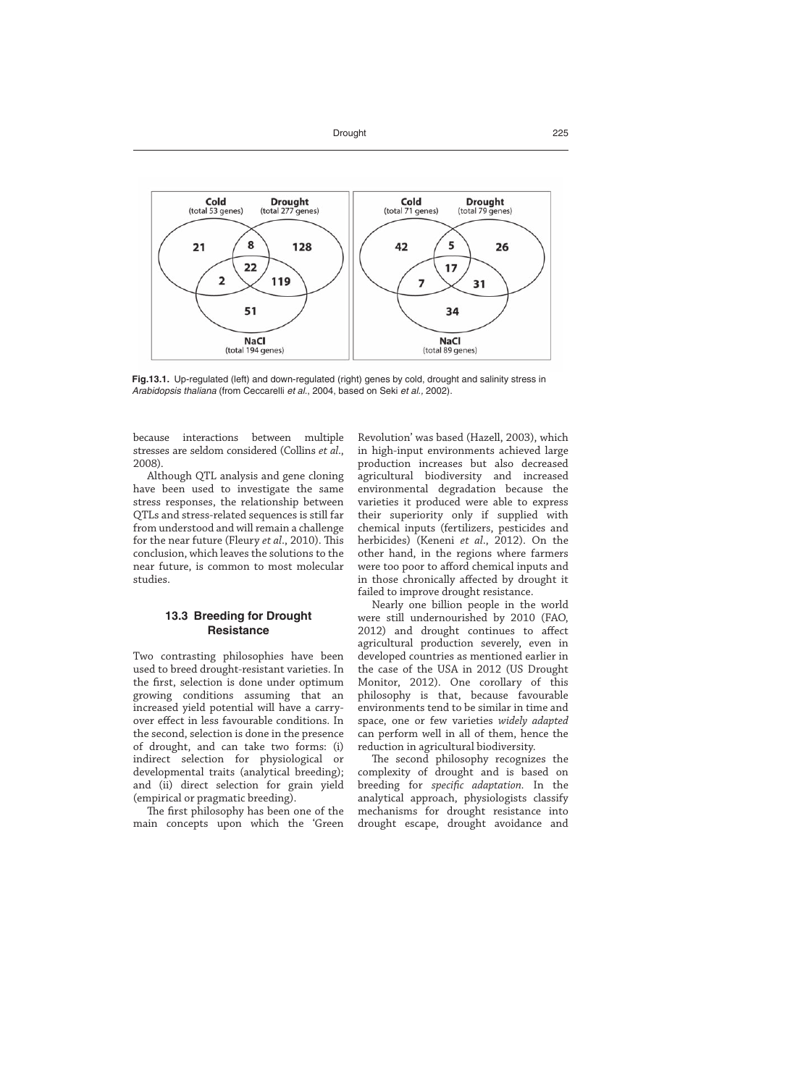

**Fig.13.1.** Up-regulated (left) and down-regulated (right) genes by cold, drought and salinity stress in *Arabidopsis thaliana* (from Ceccarelli *et al*., 2004, based on Seki *et al.,* 2002).

because interactions between multiple stresses are seldom considered (Collins *et al*., 2008).

Although QTL analysis and gene cloning have been used to investigate the same stress responses, the relationship between QTLs and stress-related sequences is still far from understood and will remain a challenge for the near future (Fleury *et al.*, 2010). This conclusion, which leaves the solutions to the near future, is common to most molecular studies.

### **13. 3 Breeding for Drought Resistance**

Two contrasting philosophies have been used to breed drought-resistant varieties. In the first, selection is done under optimum growing conditions assuming that an increased yield potential will have a carryover effect in less favourable conditions. In the second, selection is done in the presence of drought, and can take two forms: (i) indirect selection for physiological or developmental traits (analytical breeding); and (ii) direct selection for grain yield (empirical or pragmatic breeding).

The first philosophy has been one of the main concepts upon which the 'Green

Revolution' was based (Hazell, 2003), which in high-input environments achieved large production increases but also decreased agricultural biodiversity and increased environmental degradation because the varieties it produced were able to express their superiority only if supplied with chemical inputs (fertilizers, pesticides and herbicides) (Keneni *et al*., 2012). On the other hand, in the regions where farmers were too poor to afford chemical inputs and in those chronically affected by drought it failed to improve drought resistance.

Nearly one billion people in the world were still undernourished by 2010 (FAO, 2012) and drought continues to affect agricultural production severely, even in developed countries as mentioned earlier in the case of the USA in 2012 (US Drought Monitor, 2012). One corollary of this philosophy is that, because favourable environ ments tend to be similar in time and space, one or few varieties *widely adapted* can perform well in all of them, hence the reduction in agricultural biodiversity.

The second philosophy recognizes the complexity of drought and is based on breeding for *specific adaptation*. In the analytical approach, physiologists classify mechanisms for drought resistance into drought escape, drought avoidance and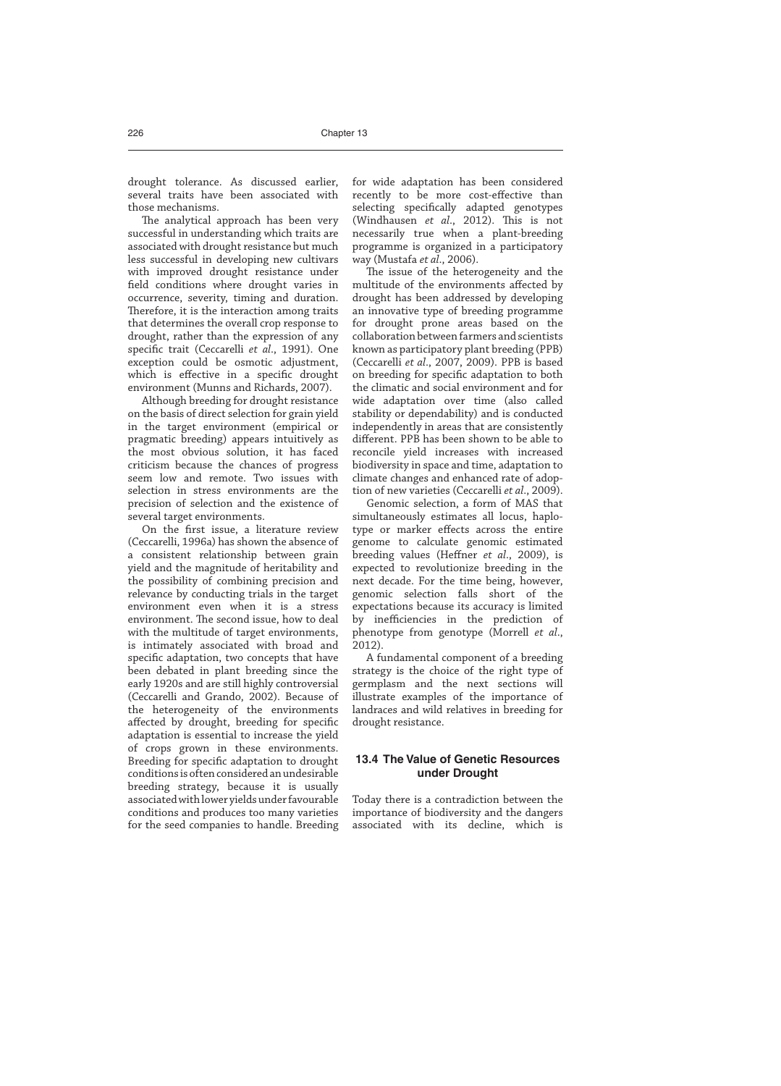drought tolerance. As discussed earlier, several traits have been associated with those mechanisms.

The analytical approach has been very successful in understanding which traits are associated with drought resistance but much less successful in developing new cultivars with improved drought resistance under field conditions where drought varies in occurrence, severity, timing and duration. Therefore, it is the interaction among traits that determines the overall crop response to drought, rather than the expression of any specific trait (Ceccarelli et al., 1991). One exception could be osmotic adjustment, which is effective in a specific drought environment (Munns and Richards, 2007).

Although breeding for drought resistance on the basis of direct selection for grain yield in the target environment (empirical or pragmatic breeding) appears intuitively as the most obvious solution, it has faced criticism because the chances of progress seem low and remote. Two issues with selection in stress environments are the precision of selection and the existence of several target environments.

On the first issue, a literature review (Ceccarelli, 1996a) has shown the absence of a consistent relationship between grain yield and the magnitude of heritability and the possibility of combining precision and relevance by conducting trials in the target environment even when it is a stress environment. The second issue, how to deal with the multitude of target environments, is intimately associated with broad and specific adaptation, two concepts that have been debated in plant breeding since the early 1920s and are still highly controversial (Ceccarelli and Grando, 2002). Because of the heterogeneity of the environments affected by drought, breeding for specific adaptation is essential to increase the yield of crops grown in these environments. Breeding for specific adaptation to drought conditions is often considered an undesirable breeding strategy, because it is usually associated with lower yields under favourable conditions and produces too many varieties for the seed companies to handle. Breeding

for wide adaptation has been considered recently to be more cost-effective than selecting specifically adapted genotypes (Windhausen *et al.*, 2012). This is not necessarily true when a plant-breeding programme is organized in a participatory way (Mustafa *et al*., 2006).

The issue of the heterogeneity and the multitude of the environments affected by drought has been addressed by developing an innovative type of breeding programme for drought prone areas based on the collaboration between farmers and scientists known as participatory plant breeding (PPB) (Ceccarelli *et al*., 2007, 2009). PPB is based on breeding for specific adaptation to both the climatic and social environment and for wide adaptation over time (also called stability or dependability) and is conducted independently in areas that are consistently different. PPB has been shown to be able to reconcile yield increases with increased biodiversity in space and time, adaptation to climate changes and enhanced rate of adoption of new varieties (Ceccarelli *et al*., 2009).

Genomic selection, a form of MAS that simultaneously estimates all locus, haplotype or marker effects across the entire genome to calculate genomic estimated breeding values (Heffner et al., 2009), is expected to revolutionize breeding in the next decade. For the time being, however, genomic selection falls short of the expectations because its accuracy is limited by inefficiencies in the prediction of phenotype from genotype (Morrell *et al*., 2012).

A fundamental component of a breeding strategy is the choice of the right type of germplasm and the next sections will illustrate examples of the importance of landraces and wild relatives in breeding for drought resistance.

# **13.4 The Value of Genetic Resources under Drought**

Today there is a contradiction between the importance of biodiversity and the dangers associated with its decline, which is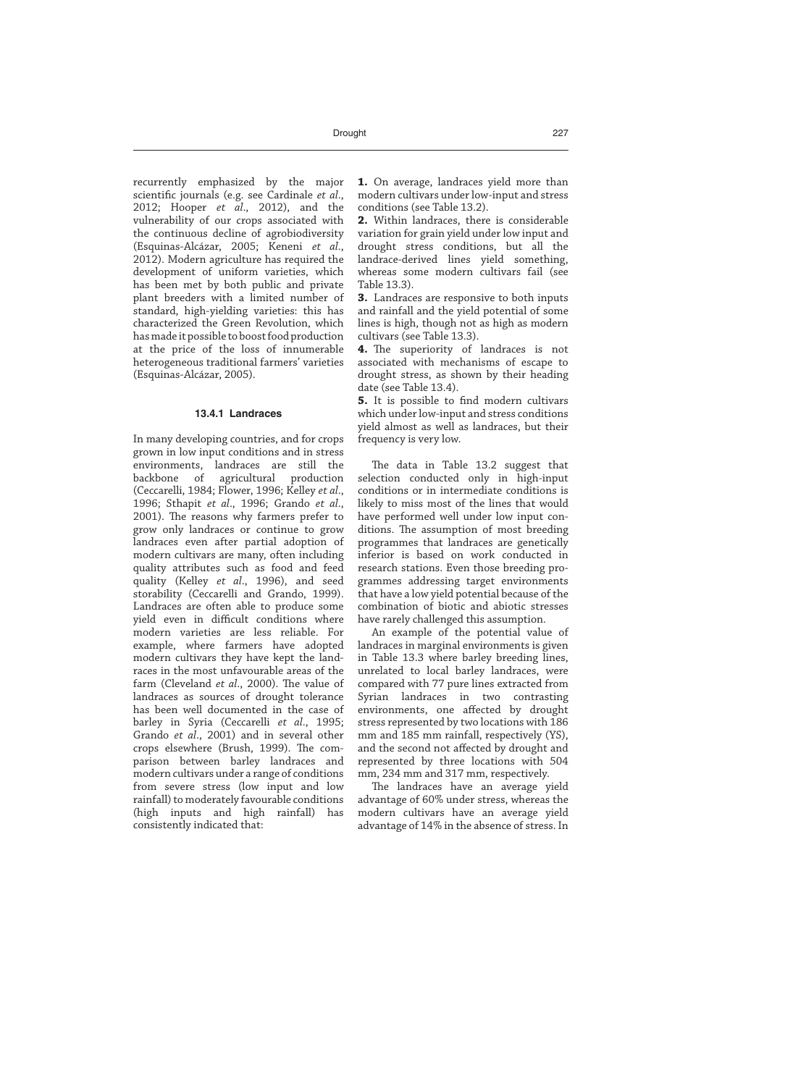recurrently emphasized by the major scientific journals (e.g. see Cardinale et al., 2012; Hooper *et al*., 2012), and the vulnerability of our crops associated with the continuous decline of agrobiodiversity (Esquinas-Alcázar, 2005; Keneni *et al*., 2012). Modern agriculture has required the development of uniform varieties, which has been met by both public and private plant breeders with a limited number of standard, high-yielding varieties: this has characterized the Green Revolution, which has made it possible to boost food production at the price of the loss of innumerable heterogeneous traditional farmers' varieties (Esquinas-Alcázar, 2005).

### **13 .4.1 Landraces**

In many developing countries, and for crops grown in low input conditions and in stress environments, landraces are still the backbone of agricultural production (Ceccarelli, 1984; Flower, 1996; Kelley *et al*., 1996; Sthapit *et al*., 1996; Grando *et al*., 2001). The reasons why farmers prefer to grow only landraces or continue to grow landraces even after partial adoption of modern cultivars are many, often including quality attributes such as food and feed quality (Kelley *et al*., 1996), and seed storability (Ceccarelli and Grando, 1999). Landraces are often able to produce some vield even in difficult conditions where modern varieties are less reliable. For example, where farmers have adopted modern cultivars they have kept the landraces in the most unfavourable areas of the farm (Cleveland et al., 2000). The value of landraces as sources of drought tolerance has been well documented in the case of barley in Syria (Ceccarelli *et al*., 1995; Grando *et al*., 2001) and in several other crops elsewhere (Brush, 1999). The comparison between barley landraces and modern cultivars under a range of conditions from severe stress (low input and low rainfall) to moderately favourable conditions (high inputs and high rainfall) has consistently indicated that:

**1.** On average, landraces yield more than modern cultivars under low-input and stress conditions (see Table 13.2).

**2.** Within landraces, there is considerable variation for grain yield under low input and drought stress conditions, but all the landrace-derived lines yield something, whereas some modern cultivars fail (see Table 13.3).

**3.** Landraces are responsive to both inputs and rainfall and the yield potential of some lines is high, though not as high as modern cultivars (see Table 13.3).

**4.** The superiority of landraces is not associated with mechanisms of escape to drought stress, as shown by their heading date (see Table 13.4).

**5.** It is possible to find modern cultivars which under low-input and stress conditions yield almost as well as landraces, but their frequency is very low.

The data in Table 13.2 suggest that selection conducted only in high-input conditions or in intermediate conditions is likely to miss most of the lines that would have performed well under low input conditions. The assumption of most breeding programmes that landraces are genetically inferior is based on work conducted in research stations. Even those breeding programmes addressing target environments that have a low yield potential because of the combination of biotic and abiotic stresses have rarely challenged this assumption.

An example of the potential value of landraces in marginal environments is given in Table 13.3 where barley breeding lines, unrelated to local barley landraces, were compared with 77 pure lines extracted from Syrian landraces in two contrasting environments, one affected by drought stress represented by two locations with 186 mm and 185 mm rainfall, respectively (YS), and the second not affected by drought and represented by three locations with 504 mm, 234 mm and 317 mm, respectively.

The landraces have an average yield advantage of 60% under stress, whereas the modern cultivars have an average yield advantage of 14% in the absence of stress. In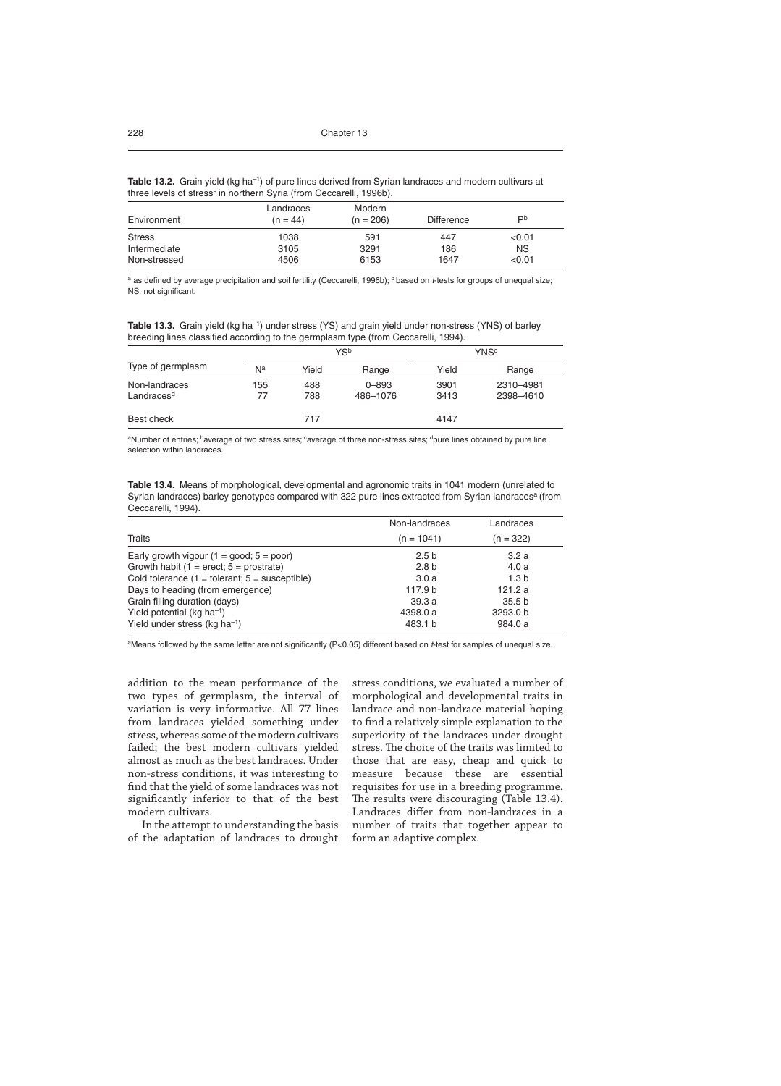| Landraces<br>$(n = 44)$ | Modern<br>$(n = 206)$ | <b>Difference</b> | pb        |  |
|-------------------------|-----------------------|-------------------|-----------|--|
| 1038                    | 591                   | 447               | < 0.01    |  |
| 3105                    | 3291                  | 186               | <b>NS</b> |  |
| 4506                    | 6153                  | 1647              | < 0.01    |  |
|                         |                       |                   |           |  |

**Table 13.2.** Grain yield (kg ha<sup>-1</sup>) of pure lines derived from Syrian landraces and modern cultivars at three levels of stress<sup>a</sup> in northern Syria (from Ceccarelli, 1996b).

a as defined by average precipitation and soil fertility (Ceccarelli, 1996b); <sup>b</sup> based on *t*-tests for groups of unequal size; NS, not significant.

**Table 13.3.** Grain yield (kg ha<sup>-1</sup>) under stress (YS) and grain yield under non-stress (YNS) of barley breeding lines classified according to the germplasm type (from Ceccarelli, 1994).

|                                         |           |            | YS <sup>b</sup>       | YNS <sup>c</sup> |                        |  |
|-----------------------------------------|-----------|------------|-----------------------|------------------|------------------------|--|
| Type of germplasm                       | Na        | Yield      | Range                 | Yield            | Range                  |  |
| Non-landraces<br>Landraces <sup>d</sup> | 155<br>77 | 488<br>788 | $0 - 893$<br>486-1076 | 3901<br>3413     | 2310-4981<br>2398-4610 |  |
| Best check                              |           | 717        |                       | 4147             |                        |  |

aNumber of entries; baverage of two stress sites; caverage of three non-stress sites; dpure lines obtained by pure line selection within landraces.

**Table 13.4.** Means of morphological, developmental and agronomic traits in 1041 modern (unrelated to Syrian landraces) barley genotypes compared with 322 pure lines extracted from Syrian landraces<sup>a</sup> (from Ceccarelli, 1994).

|                                                    | Non-landraces    | Landraces         |
|----------------------------------------------------|------------------|-------------------|
| Traits                                             | $(n = 1041)$     | $(n = 322)$       |
| Early growth vigour $(1 = good, 5 = poor)$         | 2.5 <sub>b</sub> | 3.2a              |
| Growth habit (1 = erect; $5 =$ prostrate)          | 2.8 <sub>b</sub> | 4.0a              |
| Cold tolerance $(1 =$ tolerant; $5 =$ susceptible) | 3.0a             | 1.3 <sub>b</sub>  |
| Days to heading (from emergence)                   | 117.9 b          | 121.2 a           |
| Grain filling duration (days)                      | 39.3a            | 35.5 <sub>b</sub> |
| Yield potential ( $kq$ ha <sup>-1</sup> )          | 4398.0 a         | 3293.0 b          |
| Yield under stress ( $kq$ ha <sup>-1</sup> )       | 483.1 b          | 984.0 a           |

<sup>a</sup>Means followed by the same letter are not significantly (P<0.05) different based on *t*-test for samples of unequal size.

addition to the mean performance of the two types of germplasm, the interval of variation is very informative. All 77 lines from landraces yielded something under stress, whereas some of the modern cultivars failed; the best modern cultivars yielded almost as much as the best landraces. Under non-stress conditions, it was interesting to find that the yield of some landraces was not significantly inferior to that of the best modern cultivars.

In the attempt to understanding the basis of the adaptation of landraces to drought stress conditions, we evaluated a number of morphological and developmental traits in landrace and non-landrace material hoping to find a relatively simple explanation to the superiority of the landraces under drought stress. The choice of the traits was limited to those that are easy, cheap and quick to measure because these are essential requisites for use in a breeding programme. The results were discouraging (Table 13.4). Landraces differ from non-landraces in a number of traits that together appear to form an adaptive complex.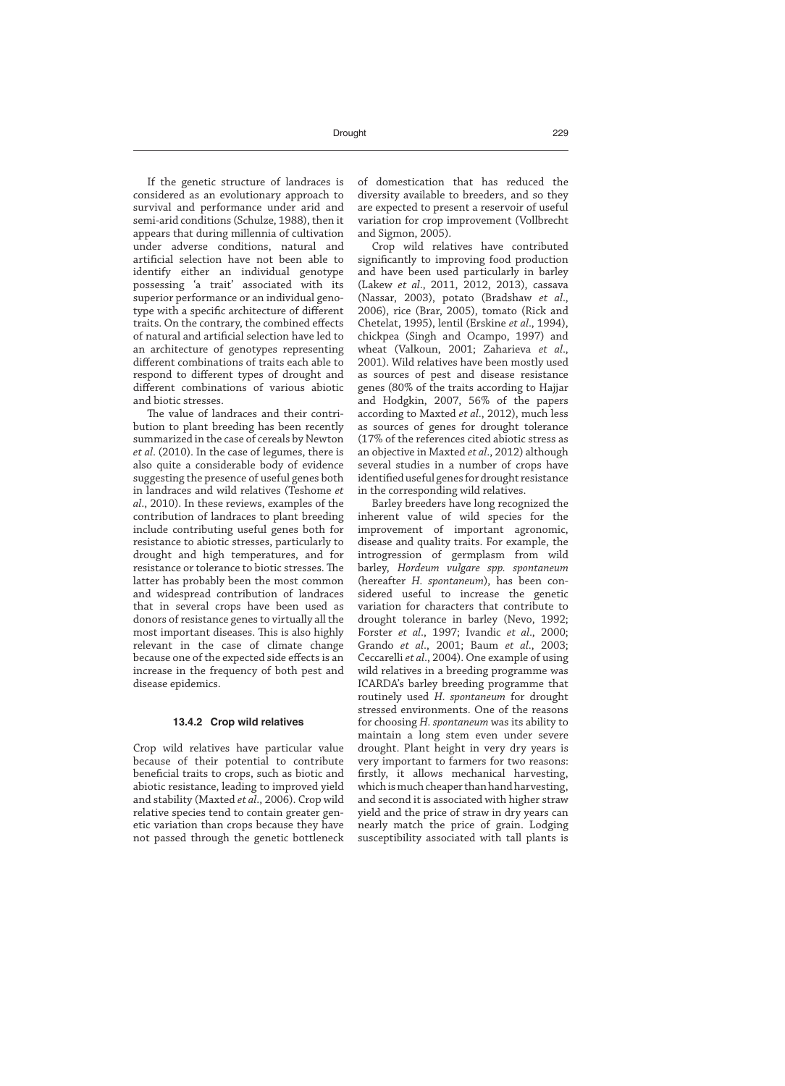If the genetic structure of landraces is considered as an evolutionary approach to survival and performance under arid and semi-arid conditions (Schulze, 1988), then it appears that during millennia of cultivation under adverse conditions, natural and artificial selection have not been able to identify either an individual genotype possessing 'a trait' associated with its superior performance or an individual genotype with a specific architecture of different traits. On the contrary, the combined effects of natural and artificial selection have led to an architecture of genotypes representing different combinations of traits each able to respond to different types of drought and different combinations of various abiotic and biotic stresses.

The value of landraces and their contribution to plant breeding has been recently summarized in the case of cereals by Newton *et al*. (2010). In the case of legumes, there is also quite a considerable body of evidence suggesting the presence of useful genes both in landraces and wild relatives (Teshome *et al*., 2010). In these reviews, examples of the contribution of landraces to plant breeding include contributing useful genes both for resistance to abiotic stresses, particularly to drought and high temperatures, and for resistance or tolerance to biotic stresses. The latter has probably been the most common and widespread contribution of landraces that in several crops have been used as donors of resistance genes to virtually all the most important diseases. This is also highly relevant in the case of climate change because one of the expected side effects is an increase in the frequency of both pest and disease epidemics.

#### **13.4.2 Crop wild relatives**

Crop wild relatives have particular value because of their potential to contribute beneficial traits to crops, such as biotic and abiotic resistance, leading to improved yield and stability (Maxted *et al*., 2006). Crop wild relative species tend to contain greater genetic variation than crops because they have not passed through the genetic bottleneck of domestication that has reduced the diversity available to breeders, and so they are expected to present a reservoir of useful variation for crop improvement (Vollbrecht and Sigmon, 2005).

Crop wild relatives have contributed significantly to improving food production and have been used particularly in barley (Lakew *et al*., 2011, 2012, 2013), cassava (Nassar, 2003), potato (Bradshaw *et al*., 2006), rice (Brar, 2005), tomato (Rick and Chetelat, 1995), lentil (Erskine *et al*., 1994), chickpea (Singh and Ocampo, 1997) and wheat (Valkoun, 2001; Zaharieva *et al*., 2001). Wild relatives have been mostly used as sources of pest and disease resistance genes (80% of the traits according to Hajjar and Hodgkin, 2007, 56% of the papers according to Maxted *et al*., 2012), much less as sources of genes for drought tolerance (17% of the references cited abiotic stress as an objective in Maxted *et al*., 2012) although several studies in a number of crops have identified useful genes for drought resistance in the corresponding wild relatives.

Barley breeders have long recognized the inherent value of wild species for the improvement of important agronomic, disease and quality traits. For example, the introgression of germplasm from wild barley, *Hordeum vulgare spp. spontaneum* (hereafter *H. spontaneum*), has been considered useful to increase the genetic variation for characters that contribute to drought tolerance in barley (Nevo, 1992; Forster *et al*., 1997; Ivandic *et al*., 2000; Grando *et al*., 2001; Baum *et al*., 2003; Ceccarelli *et al*., 2004). One example of using wild relatives in a breeding programme was ICARDA's barley breeding programme that routinely used *H. spontaneum* for drought stressed environments. One of the reasons for choosing *H. spontaneum* was its ability to maintain a long stem even under severe drought. Plant height in very dry years is very important to farmers for two reasons: firstly, it allows mechanical harvesting, which is much cheaper than hand harvesting, and second it is associated with higher straw yield and the price of straw in dry years can nearly match the price of grain. Lodging susceptibility associated with tall plants is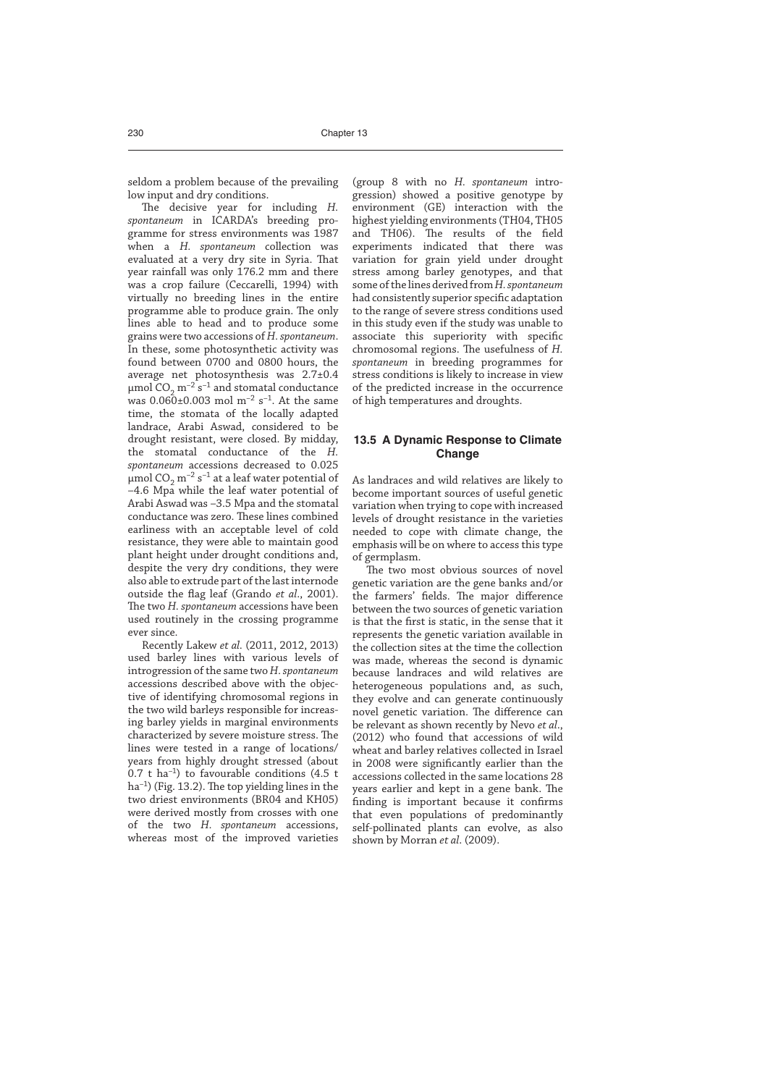seldom a problem because of the prevailing low input and dry conditions.

The decisive year for including *H*. *spontaneum* in ICARDA's breeding programme for stress environments was 1987 when a *H. spontaneum* collection was evaluated at a very dry site in Syria. That year rainfall was only 176.2 mm and there was a crop failure (Ceccarelli, 1994) with virtually no breeding lines in the entire programme able to produce grain. The only lines able to head and to produce some grains were two accessions of *H. spontaneum*. In these, some photosynthetic activity was found between 0700 and 0800 hours, the average net photosynthesis was 2.7±0.4 μmol  $CO_2$  m<sup>-2</sup> s<sup>-1</sup> and stomatal conductance was  $0.060\pm0.003$  mol m<sup>-2</sup> s<sup>-1</sup>. At the same time, the stomata of the locally adapted landrace, Arabi Aswad, considered to be drought resistant, were closed. By midday, the stomatal conductance of the *H. spontaneum* accessions decreased to 0.025 μmol  $CO<sub>2</sub>$  m<sup>-2</sup> s<sup>-1</sup> at a leaf water potential of –4.6 Mpa while the leaf water potential of Arabi Aswad was –3.5 Mpa and the stomatal conductance was zero. These lines combined earliness with an acceptable level of cold resistance, they were able to maintain good plant height under drought conditions and, despite the very dry conditions, they were also able to extrude part of the last internode outside the flag leaf (Grando *et al.*, 2001). The two *H. spontaneum* accessions have been used routinely in the crossing programme ever since.

Recently Lakew *et al.* (2011, 2012, 2013) used barley lines with various levels of introgression of the same two *H. spontaneum* accessions described above with the objective of identifying chromosomal regions in the two wild barleys responsible for increasing barley yields in marginal environments characterized by severe moisture stress. The lines were tested in a range of locations/ years from highly drought stressed (about 0.7 t ha<sup>-1</sup>) to favourable conditions  $(4.5 t)$  $ha^{-1}$ ) (Fig. 13.2). The top yielding lines in the two driest environments (BR04 and KH05) were derived mostly from crosses with one of the two *H. spontaneum* accessions, whereas most of the improved varieties

(group 8 with no *H. spontaneum* introgression) showed a positive genotype by environment (GE) interaction with the highest yielding environments (TH04, TH05 and TH06). The results of the field experiments indicated that there was variation for grain yield under drought stress among barley genotypes, and that some of the lines derived from *H. spontaneum* had consistently superior specific adaptation to the range of severe stress conditions used in this study even if the study was unable to associate this superiority with specific chromosomal regions. The usefulness of H. *spontaneum* in breeding programmes for stress conditions is likely to increase in view of the predicted increase in the occurrence of high temperatures and droughts.

## **13.5 A Dynamic Response to Climate Change**

As landraces and wild relatives are likely to become important sources of useful genetic variation when trying to cope with increased levels of drought resistance in the varieties needed to cope with climate change, the emphasis will be on where to access this type of germplasm.

The two most obvious sources of novel genetic variation are the gene banks and/or the farmers' fields. The major difference between the two sources of genetic variation is that the first is static, in the sense that it represents the genetic variation available in the collection sites at the time the collection was made, whereas the second is dynamic because landraces and wild relatives are heterogeneous populations and, as such, they evolve and can generate continuously novel genetic variation. The difference can be relevant as shown recently by Nevo *et al*., (2012) who found that accessions of wild wheat and barley relatives collected in Israel in 2008 were significantly earlier than the accessions collected in the same locations 28 years earlier and kept in a gene bank. The finding is important because it confirms that even populations of predominantly self-pollinated plants can evolve, as also shown by Morran *et al*. (2009).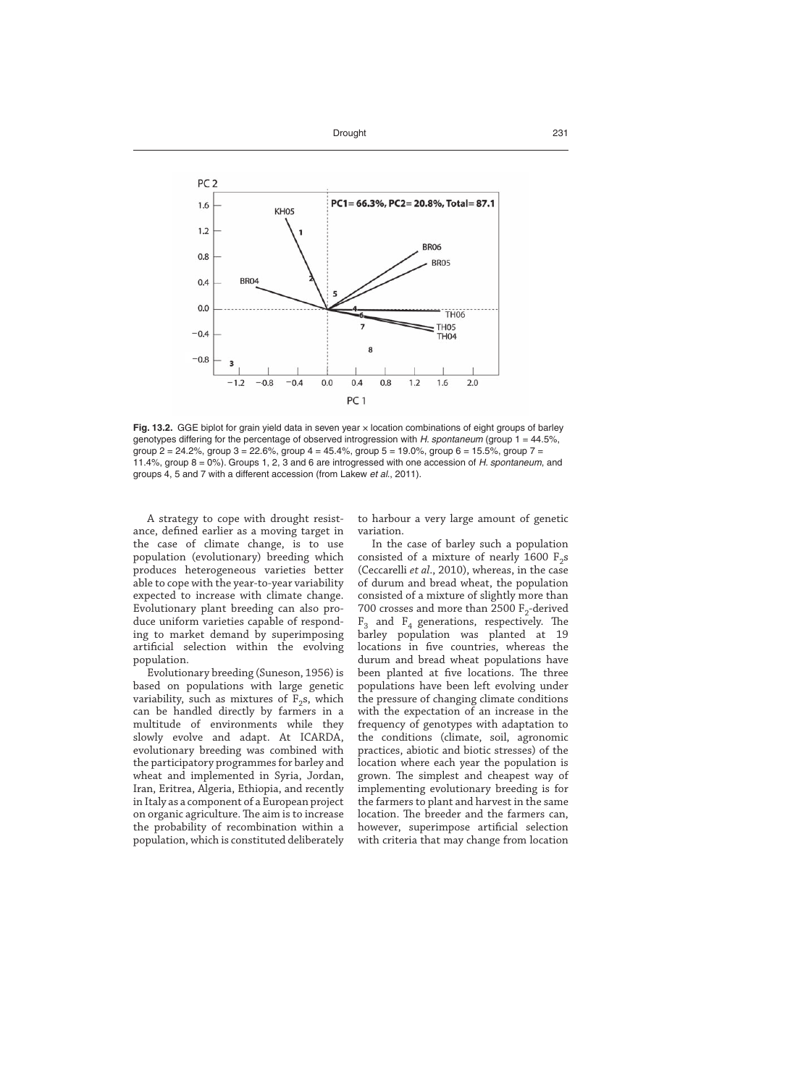

**Fig. 13.2.** GGE biplot for grain yield data in seven year x location combinations of eight groups of barley genotypes differing for the percentage of observed introgression with *H. spontaneum* (group 1 = 44.5%, group 2 = 24.2%, group 3 = 22.6%, group 4 = 45.4%, group 5 = 19.0%, group 6 = 15.5%, group 7 = 11.4%, group 8 = 0%). Groups 1, 2, 3 and 6 are introgressed with one accession of *H. spontaneum*, and groups 4, 5 and 7 with a different accession (from Lakew *et al*., 2011).

A strategy to cope with drought resistance, defined earlier as a moving target in the case of climate change, is to use population (evolutionary) breeding which produces heterogeneous varieties better able to cope with the year-to-year variability expected to increase with climate change. Evolutionary plant breeding can also produce uniform varieties capable of responding to market demand by superimposing artificial selection within the evolving population.

Evolutionary breeding (Suneson, 1956) is based on populations with large genetic variability, such as mixtures of  $F_2$ s, which can be handled directly by farmers in a multitude of environments while they slowly evolve and adapt. At ICARDA, evolutionary breeding was combined with the participatory programmes for barley and wheat and implemented in Syria, Jordan, Iran, Eritrea, Algeria, Ethiopia, and recently in Italy as a component of a European project on organic agriculture. The aim is to increase the probability of recombination within a population, which is constituted deliberately to harbour a very large amount of genetic variation.

In the case of barley such a population consisted of a mixture of nearly 1600  $F_2$ s (Ceccarelli *et al*., 2010), whereas, in the case of durum and bread wheat, the population consisted of a mixture of slightly more than 700 crosses and more than 2500  $F<sub>2</sub>$ -derived  $F_3$  and  $F_4$  generations, respectively. The barley population was planted at 19 locations in five countries, whereas the durum and bread wheat populations have been planted at five locations. The three populations have been left evolving under the pressure of changing climate conditions with the expectation of an increase in the frequency of genotypes with adaptation to the conditions (climate, soil, agronomic practices, abiotic and biotic stresses) of the location where each year the population is grown. The simplest and cheapest way of implementing evolutionary breeding is for the farmers to plant and harvest in the same location. The breeder and the farmers can, however, superimpose artificial selection with criteria that may change from location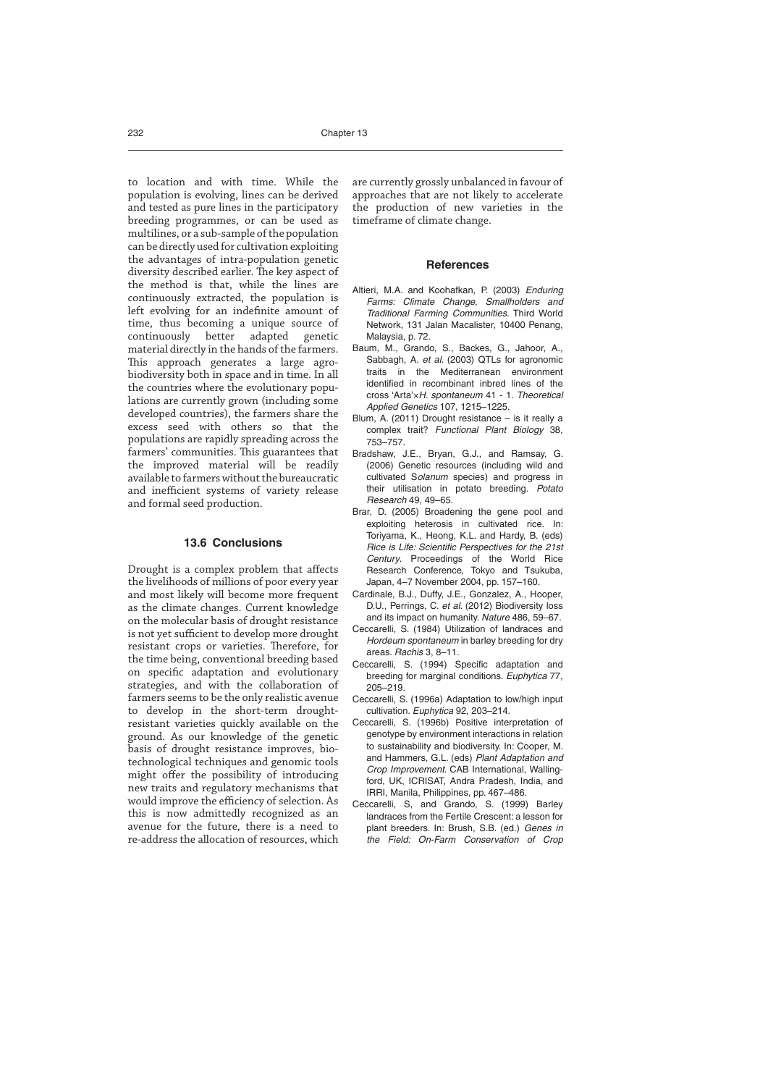to location and with time. While the population is evolving, lines can be derived and tested as pure lines in the participatory breeding programmes, or can be used as multilines, or a sub-sample of the population can be directly used for cultivation exploiting the advantages of intra-population genetic diversity described earlier. The key aspect of the method is that, while the lines are continuously extracted, the population is left evolving for an indefinite amount of time, thus becoming a unique source of continuously better adapted genetic material directly in the hands of the farmers. This approach generates a large agrobiodiversity both in space and in time. In all the countries where the evolutionary populations are currently grown (including some developed countries), the farmers share the excess seed with others so that the populations are rapidly spreading across the farmers' communities. This guarantees that the improved material will be readily available to farmers without the bureaucratic and inefficient systems of variety release and formal seed production.

### **13.6 Conclu sions**

Drought is a complex problem that affects the livelihoods of millions of poor every year and most likely will become more frequent as the climate changes. Current knowledge on the molecular basis of drought resistance is not yet sufficient to develop more drought resistant crops or varieties. Therefore, for the time being, conventional breeding based on specific adaptation and evolutionary strategies, and with the collaboration of farmers seems to be the only realistic avenue to develop in the short-term droughtresistant varieties quickly available on the ground. As our knowledge of the genetic basis of drought resistance improves, biotechnological techniques and genomic tools might offer the possibility of introducing new traits and regulatory mechanisms that would improve the efficiency of selection. As this is now admittedly recognized as an avenue for the future, there is a need to re-address the allocation of resources, which

are currently grossly unbalanced in favour of approaches that are not likely to accelerate the production of new varieties in the timeframe of climate change.

#### **References**

- Altieri, M.A. and Koohafkan, P. (2003) *Enduring Farms: Climate Change, Smallholders and Traditional Farming Communities*. Third World Network, 131 Jalan Macalister, 10400 Penang, Malaysia, p. 72.
- Baum, M., Grando, S., Backes, G., Jahoor, A., Sabbagh, A. *et al*. (2003) QTLs for agronomic traits in the Mediterranean environment identified in recombinant inbred lines of the cross 'Arta'×*H. spontaneum* 41 - 1. *Theoretical Applied Genetics* 107, 1215–1225.
- Blum, A. (2011) Drought resistance is it really a complex trait? *Functional Plant Biology* 38, 753–757.
- Bradshaw, J.E., Bryan, G.J., and Ramsay, G. (2006) Genetic resources (including wild and cultivated S*olanum* species) and progress in their utilisation in potato breeding. *Potato Research* 49, 49–65.
- Brar, D. (2005) Broadening the gene pool and exploiting heterosis in cultivated rice. In: Toriyama, K., Heong, K.L. and Hardy, B. (eds) *Rice is Life: Scientific Perspectives for the 21st Century*. Proceedings of the World Rice Research Conference, Tokyo and Tsukuba, Japan, 4–7 November 2004, pp. 157–160.
- Cardinale, B.J., Duffy, J.E., Gonzalez, A., Hooper, D.U., Perrings, C. *et al*. (2012) Biodiversity loss and its impact on humanity. *Nature* 486, 59–67.
- Ceccarelli, S. (1984) Utilization of landraces and *Hordeum spontaneum* in barley breeding for dry areas. *Rachis* 3, 8–11.
- Ceccarelli, S. (1994) Specific adaptation and breeding for marginal conditions. *Euphytica* 77, 205–219.
- Ceccarelli, S. (1996a) Adaptation to low/high input cultivation. *Euphytica* 92, 203–214.
- Ceccarelli, S. (1996b) Positive interpretation of genotype by environment interactions in relation to sustainability and biodiversity. In: Cooper, M. and Hammers, G.L. (eds) *Plant Adaptation and Crop Improvement*. CAB International, Wallingford, UK, ICRISAT, Andra Pradesh, India, and IRRI, Manila, Philippines, pp. 467–486.
- Ceccarelli, S, and Grando, S. (1999) Barley landraces from the Fertile Crescent: a lesson for plant breeders. In: Brush, S.B. (ed.) *Genes in the Field: On-Farm Conservation of Crop*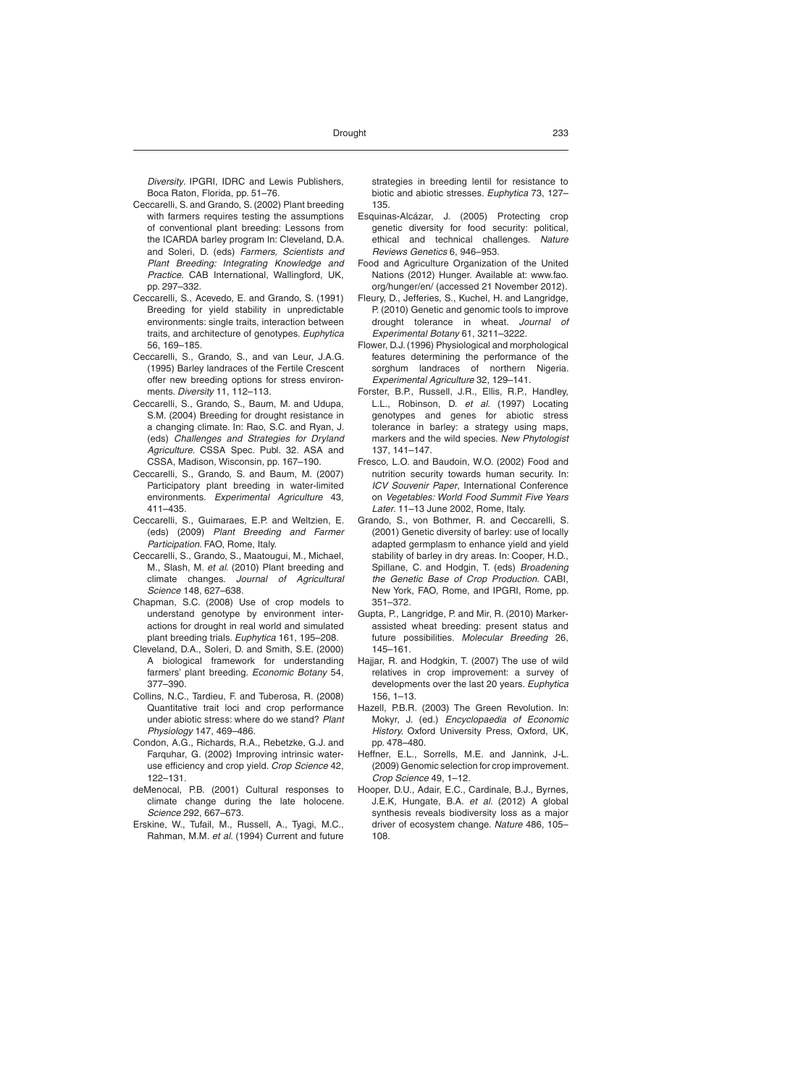*Diversity*. IPGRI, IDRC and Lewis Publishers, Boca Raton, Florida, pp. 51–76.

- Ceccarelli, S. and Grando, S. (2002) Plant breeding with farmers requires testing the assumptions of conventional plant breeding: Lessons from the ICARDA barley program In: Cleveland, D.A. and Soleri, D. (eds) *Farmers, Scientists and Plant Breeding: Integrating Knowledge and Practice.* CAB International, Wallingford, UK, pp. 297–332.
- Ceccarelli, S., Acevedo, E. and Grando, S. (1991) Breeding for yield stability in unpredictable environments: single traits, interaction between traits, and architecture of genotypes. *Euphytica* 56, 169–185.
- Ceccarelli, S., Grando, S., and van Leur, J.A.G. (1995) Barley landraces of the Fertile Crescent offer new breeding options for stress environments. *Diversity* 11, 112–113*.*
- Ceccarelli, S., Grando, S., Baum, M. and Udupa, S.M. (2004) Breeding for drought resistance in a changing climate. In: Rao, S.C. and Ryan, J. (eds) *Challenges and Strategies for Dryland Agriculture*. CSSA Spec. Publ. 32. ASA and CSSA, Madison, Wisconsin, pp. 167–190.
- Ceccarelli, S., Grando, S. and Baum, M. (2007) Participatory plant breeding in water-limited environments. *Experimental Agriculture* 43, 411–435.
- Ceccarelli, S., Guimaraes, E.P. and Weltzien, E. (eds) (2009) *Plant Breeding and Farmer Participation*. FAO, Rome, Italy.
- Ceccarelli, S., Grando, S., Maatougui, M., Michael, M., Slash, M. *et al*. (2010) Plant breeding and climate changes. *Journal of Agricultural Science* 148, 627–638.
- Chapman, S.C. (2008) Use of crop models to understand genotype by environment interactions for drought in real world and simulated plant breeding trials. *Euphytica* 161, 195–208.
- Cleveland, D.A., Soleri, D. and Smith, S.E. (2000) A biological framework for understanding farmers' plant breeding. *Economic Botany* 54, 377–390.
- Collins, N.C., Tardieu, F. and Tuberosa, R. (2008) Quantitative trait loci and crop performance under abiotic stress: where do we stand? *Plant Physiology* 147, 469–486.
- Condon, A.G., Richards, R.A., Rebetzke, G.J. and Farquhar, G. (2002) Improving intrinsic wateruse efficiency and crop yield. *Crop Science* 42, 122–131.
- deMenocal, P.B. (2001) Cultural responses to climate change during the late holocene. *Science* 292, 667–673.
- Erskine, W., Tufail, M., Russell, A., Tyagi, M.C., Rahman, M.M. *et al*. (1994) Current and future

strategies in breeding lentil for resistance to biotic and abiotic stresses*. Euphytica* 73, 127– 135.

- Esquinas-Alcázar, J. (2005) Protecting crop genetic diversity for food security: political, ethical and technical challenges. *Nature Reviews Genetics* 6, 946–953.
- Food and Agriculture Organization of the United Nations (2012) Hunger. Available at: [www.fao.](www.fao.org/hunger/en/) [org/hunger/en/](www.fao.org/hunger/en/) (accessed 21 November 2012).
- Fleury, D., Jefferies, S., Kuchel, H. and Langridge, P. (2010) Genetic and genomic tools to improve drought tolerance in wheat. *Journal of Experimental Botany* 61, 3211–3222.
- Flower, D.J. (1996) Physiological and morphological features determining the performance of the sorghum landraces of northern Nigeria. *Experimental Agriculture* 32, 129–141.
- Forster, B.P., Russell, J.R., Ellis, R.P., Handley, L.L., Robinson, D. *et al*. (1997) Locating genotypes and genes for abiotic stress tolerance in barley: a strategy using maps, markers and the wild species. *New Phytologist* 137, 141–147.
- Fresco, L.O. and Baudoin, W.O. (2002) Food and nutrition security towards human security. In: *ICV Souvenir Paper*, International Conference on *Vegetables: World Food Summit Five Years Later*. 11–13 June 2002, Rome, Italy.
- Grando, S., von Bothmer, R. and Ceccarelli, S. (2001) Genetic diversity of barley: use of locally adapted germplasm to enhance yield and yield stability of barley in dry areas. In: Cooper, H.D., Spillane, C. and Hodgin, T. (eds) *Broadening the Genetic Base of Crop Production*. CABI, New York, FAO, Rome, and IPGRI, Rome, pp. 351–372.
- Gupta, P., Langridge, P. and Mir, R. (2010) Markerassisted wheat breeding: present status and future possibilities. *Molecular Breeding* 26, 145–161.
- Hajjar, R. and Hodgkin, T. (2007) The use of wild relatives in crop improvement: a survey of developments over the last 20 years. *Euphytica* 156, 1–13.
- Hazell, P.B.R. (2003) The Green Revolution. In: Mokyr, J. (ed.) *Encyclopaedia of Economic History.* Oxford University Press, Oxford, UK, pp. 478–480.
- Heffner, E.L., Sorrells, M.E. and Jannink, J-L. (2009) Genomic selection for crop improvement. *Crop Science* 49, 1–12.
- Hooper, D.U., Adair, E.C., Cardinale, B.J., Byrnes, J.E.K, Hungate, B.A. *et al*. (2012) A global synthesis reveals biodiversity loss as a major driver of ecosystem change. *Nature* 486, 105– 108.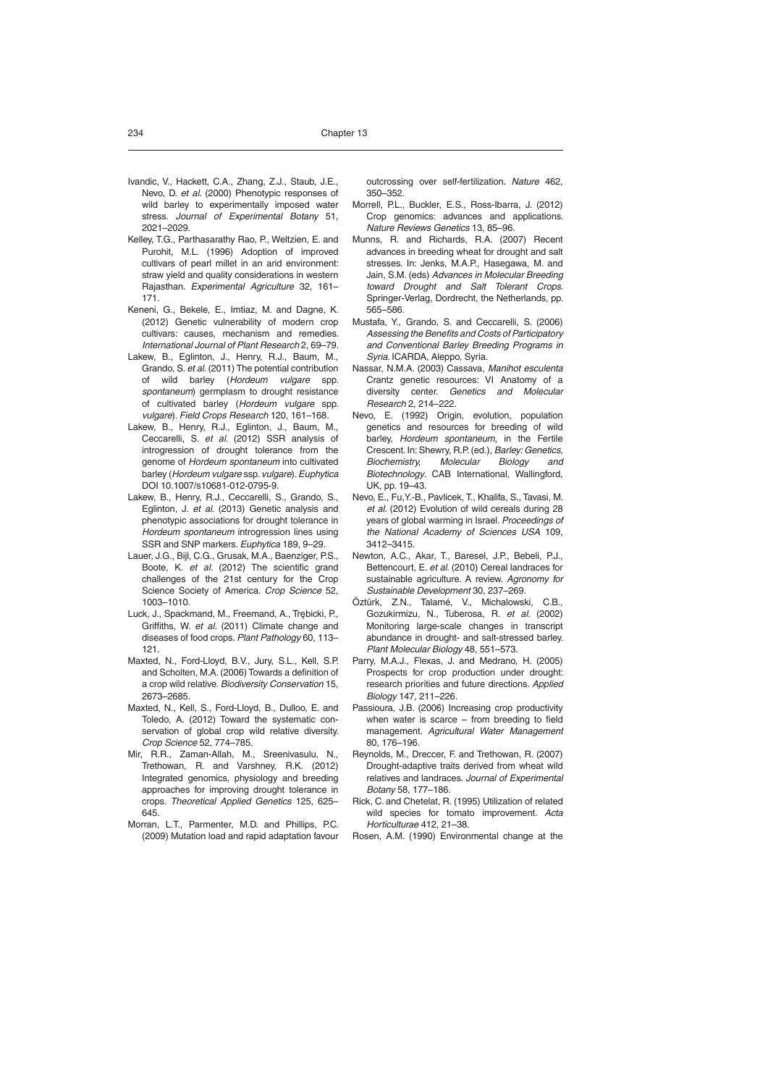- Ivandic, V., Hackett, C.A., Zhang, Z.J., Staub, J.E., Nevo, D. *et al*. (2000) Phenotypic responses of wild barley to experimentally imposed water stress. *Journal of Experimental Botany* 51, 2021–2029.
- Kelley, T.G., Parthasarathy Rao, P., Weltzien, E. and Purohit, M.L. (1996) Adoption of improved cultivars of pearl millet in an arid environment: straw yield and quality considerations in western Rajasthan. *Experimental Agriculture* 32, 161– 171.
- Keneni, G., Bekele, E., Imtiaz, M. and Dagne, K. (2012) Genetic vulnerability of modern crop cultivars: causes, mechanism and remedies. *International Journal of Plant Research* 2, 69–79.
- Lakew, B., Eglinton, J., Henry, R.J., Baum, M., Grando, S. et al. (2011) The potential contribution of wild barley (*Hordeum vulgare* spp. *spontaneum*) germplasm to drought resistance of cultivated barley (*Hordeum vulgare* spp. *vulgare*). *Field Crops Research* 120, 161–168.
- Lakew, B., Henry, R.J., Eglinton, J., Baum, M., Ceccarelli, S. *et al*. (2012) SSR analysis of introgression of drought tolerance from the genome of *Hordeum spontaneum* into cultivated barley (*Hordeum vulgare* ssp. *vulgare*). *Euphytica* DOI 10.1007/s10681-012-0795-9.
- Lakew, B., Henry, R.J., Ceccarelli, S., Grando, S., Eglinton, J. *et al*. (2013) Genetic analysis and phenotypic associations for drought tolerance in *Hordeum spontaneum* introgression lines using SSR and SNP markers. *Euphytica* 189, 9–29.
- Lauer, J.G., Bijl, C.G., Grusak, M.A., Baenziger, P.S., Boote, K. *et al.* (2012) The scientific grand challenges of the 21st century for the Crop Science Society of America. *Crop Science* 52, 1003–1010.
- Luck, J., Spackmand, M., Freemand, A., Trębicki, P., Griffiths, W. et al. (2011) Climate change and diseases of food crops. *Plant Pathology* 60, 113– 121.
- Maxted, N., Ford-Lloyd, B.V., Jury, S.L., Kell, S.P. and Scholten, M.A. (2006) Towards a definition of a crop wild relative. *Biodiversity Conservation* 15, 2673–2685.
- Maxted, N., Kell, S., Ford-Lloyd, B., Dulloo, E. and Toledo, A. (2012) Toward the systematic conservation of global crop wild relative diversity. *Crop Science* 52, 774–785.
- Mir, R.R., Zaman-Allah, M., Sreenivasulu, N., Trethowan, R. and Varshney, R.K. (2012) Integrated genomics, physiology and breeding approaches for improving drought tolerance in crops. *Theoretical Applied Genetics* 125, 625– 645.
- Morran, L.T., Parmenter, M.D. and Phillips, P.C. (2009) Mutation load and rapid adaptation favour

outcrossing over self-fertilization. *Nature* 462, 350–352.

- Morrell, P.L., Buckler, E.S., Ross-Ibarra, J. (2012) Crop genomics: advances and applications. *Nature Reviews Genetics* 13, 85–96.
- Munns, R. and Richards, R.A. (2007) Recent advances in breeding wheat for drought and salt stresses. In: Jenks, M.A.P., Hasegawa, M. and Jain, S.M. (eds) *Advances in Molecular Breeding toward Drought and Salt Tolerant Crops*. Springer-Verlag, Dordrecht, the Netherlands, pp. 565–586.
- Mustafa, Y., Grando, S. and Ceccarelli, S. (2006) Assessing the Benefits and Costs of Participatory *and Conventional Barley Breeding Programs in Syria*. ICARDA, Aleppo, Syria.
- Nassar, N.M.A. (2003) Cassava, *Manihot esculenta* Crantz genetic resources: VI Anatomy of a diversity center. *Genetics and Molecular Research* 2, 214–222.
- Nevo, E. (1992) Origin, evolution, population genetics and resources for breeding of wild barley, *Hordeum spontaneum*, in the Fertile Crescent. In: Shewry, R.P. (ed.), *Barley: Genetics, Biochemistry, Molecular Biology and Biotechnology*. CAB International, Wallingford, UK, pp. 19–43.
- Nevo, E., Fu,Y.-B., Pavlicek, T., Khalifa, S., Tavasi, M. *et al*. (2012) Evolution of wild cereals during 28 years of global warming in Israel. *Proceedings of the National Academy of Sciences USA* 109, 3412–3415.
- Newton, A.C., Akar, T., Baresel, J.P., Bebeli, P.J., Bettencourt, E. *et al*. (2010) Cereal landraces for sustainable agriculture. A review. *Agronomy for Sustainable Development* 30, 237–269.
- Öztürk, Z.N., Talamé, V., Michalowski, C.B., Gozukirmizu, N., Tuberosa, R. *et al*. (2002) Monitoring large-scale changes in transcript abundance in drought- and salt-stressed barley. *Plant Molecular Biology* 48, 551–573.
- Parry, M.A.J., Flexas, J. and Medrano, H. (2005) Prospects for crop production under drought: research priorities and future directions. *Applied Biology* 147, 211–226.
- Passioura, J.B. (2006) Increasing crop productivity when water is scarce  $-$  from breeding to field management. *Agricultural Water Management* 80, 176–196.
- Reynolds, M., Dreccer, F. and Trethowan, R. (2007) Drought-adaptive traits derived from wheat wild relatives and landraces. *Journal of Experimental Botany* 58, 177–186.
- Rick, C. and Chetelat, R. (1995) Utilization of related wild species for tomato improvement. *Acta Horticulturae* 412, 21–38.
- Rosen, A.M. (1990) Environmental change at the